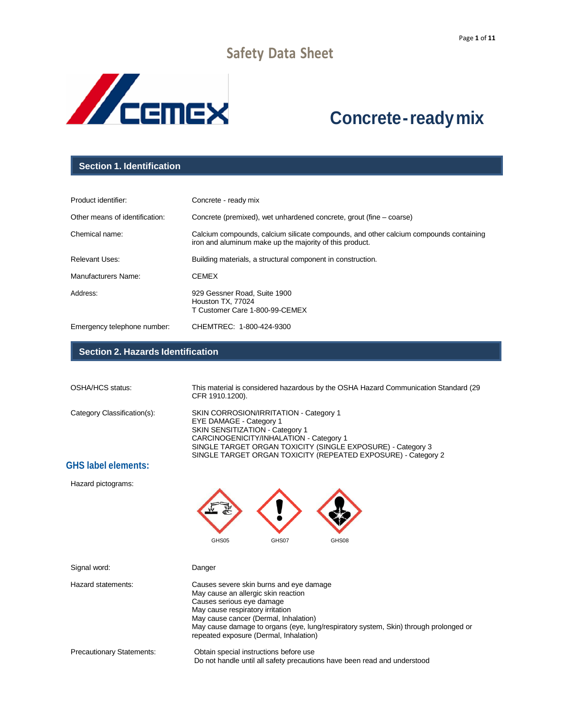

# **Concrete-readymix**

#### **Section 1. Identification**

| Product identifier:            | Concrete - ready mix                                                                                                                             |
|--------------------------------|--------------------------------------------------------------------------------------------------------------------------------------------------|
| Other means of identification: | Concrete (premixed), wet unhardened concrete, grout (fine – coarse)                                                                              |
| Chemical name:                 | Calcium compounds, calcium silicate compounds, and other calcium compounds containing<br>iron and aluminum make up the majority of this product. |
| <b>Relevant Uses:</b>          | Building materials, a structural component in construction.                                                                                      |
| Manufacturers Name:            | <b>CEMEX</b>                                                                                                                                     |
| Address:                       | 929 Gessner Road, Suite 1900<br>Houston TX, 77024<br>T Customer Care 1-800-99-CEMEX                                                              |
| Emergency telephone number:    | CHEMTREC: 1-800-424-9300                                                                                                                         |

#### **Section 2. Hazards Identification**

| OSHA/HCS status:            | This material is considered hazardous by the OSHA Hazard Communication Standard (29<br>CFR 1910.1200).                                                                                                                                                                                 |
|-----------------------------|----------------------------------------------------------------------------------------------------------------------------------------------------------------------------------------------------------------------------------------------------------------------------------------|
| Category Classification(s): | SKIN CORROSION/IRRITATION - Category 1<br><b>EYE DAMAGE - Category 1</b><br>SKIN SENSITIZATION - Category 1<br>CARCINOGENICITY/INHALATION - Category 1<br>SINGLE TARGET ORGAN TOXICITY (SINGLE EXPOSURE) - Category 3<br>SINGLE TARGET ORGAN TOXICITY (REPEATED EXPOSURE) - Category 2 |
| <b>GHS label elements:</b>  |                                                                                                                                                                                                                                                                                        |
| Hazard pictograms:          |                                                                                                                                                                                                                                                                                        |

GHS05 GHS07 GHS08

| Signal word:                     | Danger                                                                                                                                                                                                                                                                                                                     |
|----------------------------------|----------------------------------------------------------------------------------------------------------------------------------------------------------------------------------------------------------------------------------------------------------------------------------------------------------------------------|
| Hazard statements:               | Causes severe skin burns and eye damage<br>May cause an allergic skin reaction<br>Causes serious eye damage<br>May cause respiratory irritation<br>May cause cancer (Dermal, Inhalation)<br>May cause damage to organs (eye, lung/respiratory system, Skin) through prolonged or<br>repeated exposure (Dermal, Inhalation) |
| <b>Precautionary Statements:</b> | Obtain special instructions before use<br>Do not handle until all safety precautions have been read and understood                                                                                                                                                                                                         |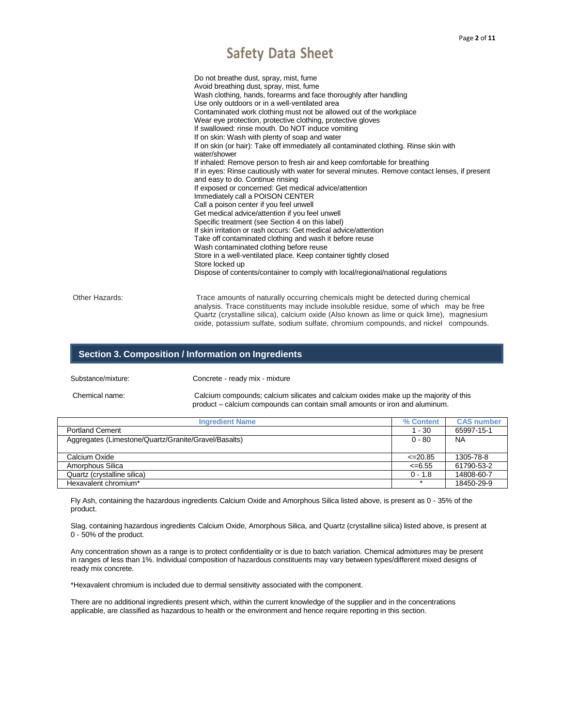|                | Do not breathe dust, spray, mist, fume<br>Avoid breathing dust, spray, mist, fume<br>Wash clothing, hands, forearms and face thoroughly after handling<br>Use only outdoors or in a well-ventilated area<br>Contaminated work clothing must not be allowed out of the workplace<br>Wear eye protection, protective clothing, protective gloves<br>If swallowed: rinse mouth. Do NOT induce vomiting<br>If on skin: Wash with plenty of soap and water<br>If on skin (or hair): Take off immediately all contaminated clothing. Rinse skin with<br>water/shower<br>If inhaled: Remove person to fresh air and keep comfortable for breathing<br>If in eyes: Rinse cautiously with water for several minutes. Remove contact lenses, if present<br>and easy to do. Continue rinsing<br>If exposed or concerned: Get medical advice/attention<br>Immediately call a POISON CENTER<br>Call a poison center if you feel unwell<br>Get medical advice/attention if you feel unwell<br>Specific treatment (see Section 4 on this label)<br>If skin irritation or rash occurs: Get medical advice/attention<br>Take off contaminated clothing and wash it before reuse<br>Wash contaminated clothing before reuse<br>Store in a well-ventilated place. Keep container tightly closed<br>Store locked up<br>Dispose of contents/container to comply with local/regional/national regulations |
|----------------|-------------------------------------------------------------------------------------------------------------------------------------------------------------------------------------------------------------------------------------------------------------------------------------------------------------------------------------------------------------------------------------------------------------------------------------------------------------------------------------------------------------------------------------------------------------------------------------------------------------------------------------------------------------------------------------------------------------------------------------------------------------------------------------------------------------------------------------------------------------------------------------------------------------------------------------------------------------------------------------------------------------------------------------------------------------------------------------------------------------------------------------------------------------------------------------------------------------------------------------------------------------------------------------------------------------------------------------------------------------------------------------|
|                |                                                                                                                                                                                                                                                                                                                                                                                                                                                                                                                                                                                                                                                                                                                                                                                                                                                                                                                                                                                                                                                                                                                                                                                                                                                                                                                                                                                     |
| Other Hazards: | Trace amounts of naturally occurring chemicals might be detected during chemical<br>analysis. Trace constituents may include insoluble residue, some of which may be free<br>Quartz (crystalline silica), calcium oxide (Also known as lime or quick lime), magnesium<br>oxide, potassium sulfate, sodium sulfate, chromium compounds, and nickel compounds.                                                                                                                                                                                                                                                                                                                                                                                                                                                                                                                                                                                                                                                                                                                                                                                                                                                                                                                                                                                                                        |

#### **Section 3. Composition / Information on Ingredients**

Substance/mixture: Concrete - ready mix - mixture

Chemical name: Calcium compounds; calcium silicates and calcium oxides make up the majority of this product – calcium compounds can contain small amounts or iron and aluminum.

| <b>Ingredient Name</b>                               | % Content    | <b>CAS number</b> |
|------------------------------------------------------|--------------|-------------------|
| <b>Portland Cement</b>                               | $1 - 30$     | 65997-15-1        |
| Aggregates (Limestone/Quartz/Granite/Gravel/Basalts) | $0 - 80$     | <b>NA</b>         |
|                                                      |              |                   |
| Calcium Oxide                                        | $\leq$ 20.85 | 1305-78-8         |
| Amorphous Silica                                     | $\leq 6.55$  | 61790-53-2        |
| Quartz (crystalline silica)                          | $0 - 1.8$    | 14808-60-7        |
| Hexavalent chromium*                                 | $\star$      | 18450-29-9        |

Fly Ash, containing the hazardous ingredients Calcium Oxide and Amorphous Silica listed above, is present as 0 - 35% of the product.

Slag, containing hazardous ingredients Calcium Oxide, Amorphous Silica, and Quartz (crystalline silica) listed above, is present at 0 - 50% of the product.

Any concentration shown as a range is to protect confidentiality or is due to batch variation. Chemical admixtures may be present in ranges of less than 1%. Individual composition of hazardous constituents may vary between types/different mixed designs of ready mix concrete.

\*Hexavalent chromium is included due to dermal sensitivity associated with the component.

There are no additional ingredients present which, within the current knowledge of the supplier and in the concentrations applicable, are classified as hazardous to health or the environment and hence require reporting in this section.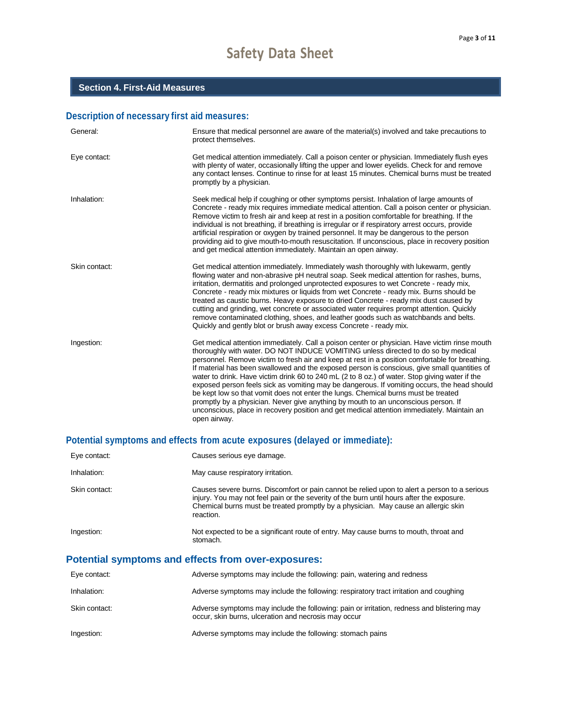### **Description of necessary first aid measures:**

| General:      | Ensure that medical personnel are aware of the material(s) involved and take precautions to<br>protect themselves.                                                                                                                                                                                                                                                                                                                                                                                                                                                                                                                                                                                                                                                                                                                                                               |
|---------------|----------------------------------------------------------------------------------------------------------------------------------------------------------------------------------------------------------------------------------------------------------------------------------------------------------------------------------------------------------------------------------------------------------------------------------------------------------------------------------------------------------------------------------------------------------------------------------------------------------------------------------------------------------------------------------------------------------------------------------------------------------------------------------------------------------------------------------------------------------------------------------|
| Eye contact:  | Get medical attention immediately. Call a poison center or physician. Immediately flush eyes<br>with plenty of water, occasionally lifting the upper and lower eyelids. Check for and remove<br>any contact lenses. Continue to rinse for at least 15 minutes. Chemical burns must be treated<br>promptly by a physician.                                                                                                                                                                                                                                                                                                                                                                                                                                                                                                                                                        |
| Inhalation:   | Seek medical help if coughing or other symptoms persist. Inhalation of large amounts of<br>Concrete - ready mix requires immediate medical attention. Call a poison center or physician.<br>Remove victim to fresh air and keep at rest in a position comfortable for breathing. If the<br>individual is not breathing, if breathing is irregular or if respiratory arrest occurs, provide<br>artificial respiration or oxygen by trained personnel. It may be dangerous to the person<br>providing aid to give mouth-to-mouth resuscitation. If unconscious, place in recovery position<br>and get medical attention immediately. Maintain an open airway.                                                                                                                                                                                                                      |
| Skin contact: | Get medical attention immediately. Immediately wash thoroughly with lukewarm, gently<br>flowing water and non-abrasive pH neutral soap. Seek medical attention for rashes, burns,<br>irritation, dermatitis and prolonged unprotected exposures to wet Concrete - ready mix,<br>Concrete - ready mix mixtures or liquids from wet Concrete - ready mix. Burns should be<br>treated as caustic burns. Heavy exposure to dried Concrete - ready mix dust caused by<br>cutting and grinding, wet concrete or associated water requires prompt attention. Quickly<br>remove contaminated clothing, shoes, and leather goods such as watchbands and belts.<br>Quickly and gently blot or brush away excess Concrete - ready mix.                                                                                                                                                      |
| Ingestion:    | Get medical attention immediately. Call a poison center or physician. Have victim rinse mouth<br>thoroughly with water. DO NOT INDUCE VOMITING unless directed to do so by medical<br>personnel. Remove victim to fresh air and keep at rest in a position comfortable for breathing.<br>If material has been swallowed and the exposed person is conscious, give small quantities of<br>water to drink. Have victim drink 60 to 240 mL (2 to 8 oz.) of water. Stop giving water if the<br>exposed person feels sick as vomiting may be dangerous. If vomiting occurs, the head should<br>be kept low so that vomit does not enter the lungs. Chemical burns must be treated<br>promptly by a physician. Never give anything by mouth to an unconscious person. If<br>unconscious, place in recovery position and get medical attention immediately. Maintain an<br>open airway. |

## **Potential symptoms and effects from acute exposures (delayed or immediate):**

| Eye contact:  | Causes serious eye damage.                                                                                                                                                                                                                                                                   |
|---------------|----------------------------------------------------------------------------------------------------------------------------------------------------------------------------------------------------------------------------------------------------------------------------------------------|
| Inhalation:   | May cause respiratory irritation.                                                                                                                                                                                                                                                            |
| Skin contact: | Causes severe burns. Discomfort or pain cannot be relied upon to alert a person to a serious<br>injury. You may not feel pain or the severity of the burn until hours after the exposure.<br>Chemical burns must be treated promptly by a physician. May cause an allergic skin<br>reaction. |
| Ingestion:    | Not expected to be a significant route of entry. May cause burns to mouth, throat and<br>stomach.                                                                                                                                                                                            |

## **Potential symptoms and effects from over-exposures:**

| Eye contact:  | Adverse symptoms may include the following: pain, watering and redness                                                                             |
|---------------|----------------------------------------------------------------------------------------------------------------------------------------------------|
| Inhalation:   | Adverse symptoms may include the following: respiratory tract irritation and coughing                                                              |
| Skin contact: | Adverse symptoms may include the following: pain or irritation, redness and blistering may<br>occur, skin burns, ulceration and necrosis may occur |
| Ingestion:    | Adverse symptoms may include the following: stomach pains                                                                                          |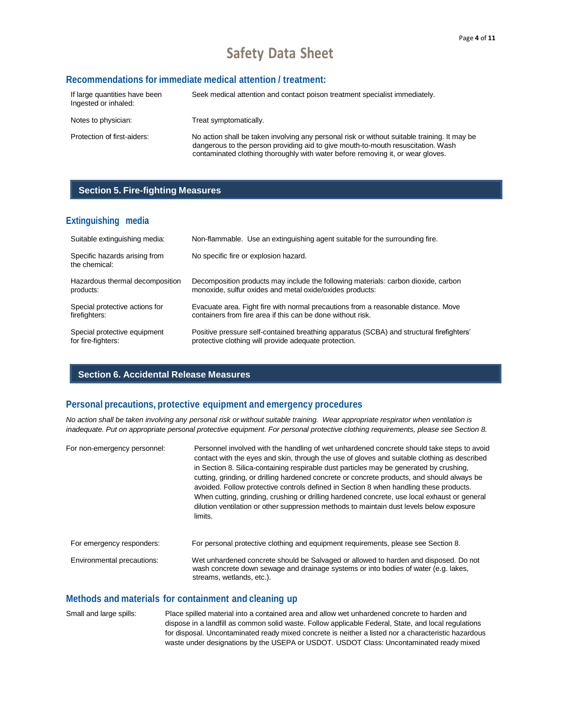#### **Recommendations for immediate medical attention / treatment:**

| If large quantities have been<br>Ingested or inhaled: | Seek medical attention and contact poison treatment specialist immediately.                                                                                                                                                                                         |
|-------------------------------------------------------|---------------------------------------------------------------------------------------------------------------------------------------------------------------------------------------------------------------------------------------------------------------------|
| Notes to physician:                                   | Treat symptomatically.                                                                                                                                                                                                                                              |
| Protection of first-aiders:                           | No action shall be taken involving any personal risk or without suitable training. It may be<br>dangerous to the person providing aid to give mouth-to-mouth resuscitation. Wash<br>contaminated clothing thoroughly with water before removing it, or wear gloves. |

#### **Section 5. Fire-fighting Measures**

#### **Extinguishing media**

| Suitable extinguishing media:                  | Non-flammable. Use an extinguishing agent suitable for the surrounding fire.             |
|------------------------------------------------|------------------------------------------------------------------------------------------|
| Specific hazards arising from<br>the chemical: | No specific fire or explosion hazard.                                                    |
| Hazardous thermal decomposition                | Decomposition products may include the following materials: carbon dioxide, carbon       |
| products:                                      | monoxide, sulfur oxides and metal oxide/oxides products:                                 |
| Special protective actions for                 | Evacuate area. Fight fire with normal precautions from a reasonable distance. Move       |
| firefighters:                                  | containers from fire area if this can be done without risk.                              |
| Special protective equipment                   | Positive pressure self-contained breathing apparatus (SCBA) and structural firefighters' |
| for fire-fighters:                             | protective clothing will provide adequate protection.                                    |

#### **Section 6. Accidental Release Measures**

#### **Personal precautions, protective equipment and emergency procedures**

No action shall be taken involving any personal risk or without suitable training. Wear appropriate respirator when ventilation is *inadequate. Put on appropriate personal protective equipment. For personal protective clothing requirements, please see Section 8.*

| For non-emergency personnel: | Personnel involved with the handling of wet unhardened concrete should take steps to avoid<br>contact with the eyes and skin, through the use of gloves and suitable clothing as described<br>in Section 8. Silica-containing respirable dust particles may be generated by crushing,<br>cutting, grinding, or drilling hardened concrete or concrete products, and should always be<br>avoided. Follow protective controls defined in Section 8 when handling these products.<br>When cutting, grinding, crushing or drilling hardened concrete, use local exhaust or general<br>dilution ventilation or other suppression methods to maintain dust levels below exposure<br>limits. |  |
|------------------------------|---------------------------------------------------------------------------------------------------------------------------------------------------------------------------------------------------------------------------------------------------------------------------------------------------------------------------------------------------------------------------------------------------------------------------------------------------------------------------------------------------------------------------------------------------------------------------------------------------------------------------------------------------------------------------------------|--|
| For emergency responders:    | For personal protective clothing and equipment requirements, please see Section 8.                                                                                                                                                                                                                                                                                                                                                                                                                                                                                                                                                                                                    |  |
| Environmental precautions:   | Wet unhardened concrete should be Salvaged or allowed to harden and disposed. Do not<br>wash concrete down sewage and drainage systems or into bodies of water (e.g. lakes,<br>streams, wetlands, etc.).                                                                                                                                                                                                                                                                                                                                                                                                                                                                              |  |

#### **Methods and materials for containment and cleaning up**

Small and large spills: Place spilled material into a contained area and allow wet unhardened concrete to harden and dispose in a landfill as common solid waste. Follow applicable Federal, State, and local regulations for disposal. Uncontaminated ready mixed concrete is neither a listed nor a characteristic hazardous waste under designations by the USEPA or USDOT. USDOT Class: Uncontaminated ready mixed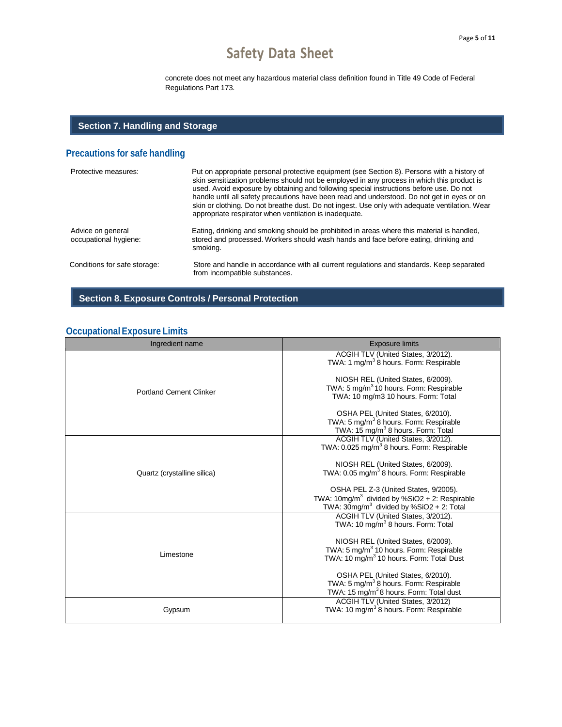concrete does not meet any hazardous material class definition found in Title 49 Code of Federal Regulations Part 173.

### **Section 7. Handling and Storage**

## **Precautions for safe handling**

| Protective measures:                       | Put on appropriate personal protective equipment (see Section 8). Persons with a history of<br>skin sensitization problems should not be employed in any process in which this product is<br>used. Avoid exposure by obtaining and following special instructions before use. Do not<br>handle until all safety precautions have been read and understood. Do not get in eyes or on<br>skin or clothing. Do not breathe dust. Do not ingest. Use only with adequate ventilation. Wear<br>appropriate respirator when ventilation is inadequate. |
|--------------------------------------------|-------------------------------------------------------------------------------------------------------------------------------------------------------------------------------------------------------------------------------------------------------------------------------------------------------------------------------------------------------------------------------------------------------------------------------------------------------------------------------------------------------------------------------------------------|
| Advice on general<br>occupational hygiene: | Eating, drinking and smoking should be prohibited in areas where this material is handled,<br>stored and processed. Workers should wash hands and face before eating, drinking and<br>smoking.                                                                                                                                                                                                                                                                                                                                                  |
| Conditions for safe storage:               | Store and handle in accordance with all current regulations and standards. Keep separated<br>from incompatible substances.                                                                                                                                                                                                                                                                                                                                                                                                                      |

## **Section 8. Exposure Controls / Personal Protection**

## **OccupationalExposure Limits**

| Ingredient name                | <b>Exposure limits</b>                                                                               |
|--------------------------------|------------------------------------------------------------------------------------------------------|
|                                | ACGIH TLV (United States, 3/2012).<br>TWA: 1 mg/m <sup>3</sup> 8 hours. Form: Respirable             |
|                                | NIOSH REL (United States, 6/2009).                                                                   |
| <b>Portland Cement Clinker</b> | TWA: 5 mg/m <sup>3</sup> 10 hours. Form: Respirable<br>TWA: 10 mg/m3 10 hours. Form: Total           |
|                                | OSHA PEL (United States, 6/2010).                                                                    |
|                                | TWA: 5 mg/m <sup>3</sup> 8 hours. Form: Respirable<br>TWA: 15 mg/m <sup>3</sup> 8 hours. Form: Total |
|                                | ACGIH TLV (United States, 3/2012).                                                                   |
|                                | TWA: 0.025 mg/m <sup>3</sup> 8 hours. Form: Respirable                                               |
|                                | NIOSH REL (United States, 6/2009).                                                                   |
| Quartz (crystalline silica)    | TWA: 0.05 mg/m <sup>3</sup> 8 hours. Form: Respirable                                                |
|                                | OSHA PEL Z-3 (United States, 9/2005).                                                                |
|                                | TWA: $10\text{mg/m}^3$ divided by %SiO2 + 2: Respirable                                              |
|                                | TWA: $30mg/m3$ divided by %SiO2 + 2: Total                                                           |
|                                | ACGIH TLV (United States, 3/2012).                                                                   |
|                                | TWA: 10 mg/m <sup>3</sup> 8 hours. Form: Total                                                       |
|                                | NIOSH REL (United States, 6/2009).                                                                   |
| Limestone                      | TWA: 5 mg/m <sup>3</sup> 10 hours. Form: Respirable                                                  |
|                                | TWA: 10 mg/m <sup>3</sup> 10 hours. Form: Total Dust                                                 |
|                                | OSHA PEL (United States, 6/2010).                                                                    |
|                                | TWA: 5 mg/m <sup>3</sup> 8 hours. Form: Respirable                                                   |
|                                | TWA: 15 mg/m <sup>3</sup> 8 hours. Form: Total dust                                                  |
| Gypsum                         | ACGIH TLV (United States, 3/2012)<br>TWA: 10 mg/m <sup>3</sup> 8 hours. Form: Respirable             |
|                                |                                                                                                      |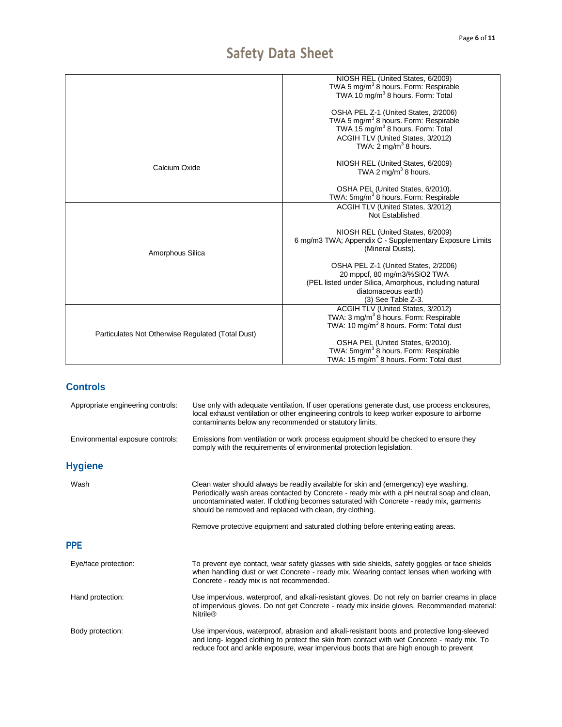|                                                   | NIOSH REL (United States, 6/2009)                                     |
|---------------------------------------------------|-----------------------------------------------------------------------|
|                                                   | TWA 5 mg/m <sup>3</sup> 8 hours. Form: Respirable                     |
|                                                   | TWA 10 mg/m <sup>3</sup> 8 hours. Form: Total                         |
|                                                   |                                                                       |
|                                                   | OSHA PEL Z-1 (United States, 2/2006)                                  |
|                                                   | TWA 5 mg/m <sup>3</sup> 8 hours. Form: Respirable                     |
|                                                   | TWA 15 mg/m <sup>3</sup> 8 hours. Form: Total                         |
|                                                   | ACGIH TLV (United States, 3/2012)                                     |
|                                                   | TWA: $2 \text{ mg/m}^3$ 8 hours.                                      |
|                                                   |                                                                       |
|                                                   |                                                                       |
| Calcium Oxide                                     | NIOSH REL (United States, 6/2009)<br>TWA 2 mg/m <sup>3</sup> 8 hours. |
|                                                   |                                                                       |
|                                                   |                                                                       |
|                                                   | OSHA PEL (United States, 6/2010).                                     |
|                                                   | TWA: 5mg/m <sup>3</sup> 8 hours. Form: Respirable                     |
|                                                   | ACGIH TLV (United States, 3/2012)                                     |
|                                                   | Not Established                                                       |
|                                                   |                                                                       |
|                                                   | NIOSH REL (United States, 6/2009)                                     |
|                                                   | 6 mg/m3 TWA; Appendix C - Supplementary Exposure Limits               |
|                                                   | (Mineral Dusts).                                                      |
| Amorphous Silica                                  |                                                                       |
|                                                   | OSHA PEL Z-1 (United States, 2/2006)                                  |
|                                                   | 20 mppcf, 80 mg/m3/%SiO2 TWA                                          |
|                                                   | (PEL listed under Silica, Amorphous, including natural                |
|                                                   | diatomaceous earth)                                                   |
|                                                   | (3) See Table Z-3.                                                    |
|                                                   | ACGIH TLV (United States, 3/2012)                                     |
|                                                   |                                                                       |
|                                                   | TWA: 3 mg/m <sup>3</sup> 8 hours. Form: Respirable                    |
|                                                   | TWA: 10 mg/m <sup>3</sup> 8 hours. Form: Total dust                   |
| Particulates Not Otherwise Regulated (Total Dust) |                                                                       |
|                                                   | OSHA PEL (United States, 6/2010).                                     |
|                                                   | TWA: 5mg/m <sup>3</sup> 8 hours. Form: Respirable                     |
|                                                   | TWA: 15 mg/m <sup>3</sup> 8 hours. Form: Total dust                   |
|                                                   |                                                                       |

## **Controls**

| Use only with adequate ventilation. If user operations generate dust, use process enclosures,<br>local exhaust ventilation or other engineering controls to keep worker exposure to airborne<br>contaminants below any recommended or statutory limits.                                                                                    |
|--------------------------------------------------------------------------------------------------------------------------------------------------------------------------------------------------------------------------------------------------------------------------------------------------------------------------------------------|
| Emissions from ventilation or work process equipment should be checked to ensure they<br>comply with the requirements of environmental protection legislation.                                                                                                                                                                             |
|                                                                                                                                                                                                                                                                                                                                            |
| Clean water should always be readily available for skin and (emergency) eye washing.<br>Periodically wash areas contacted by Concrete - ready mix with a pH neutral soap and clean,<br>uncontaminated water. If clothing becomes saturated with Concrete - ready mix, garments<br>should be removed and replaced with clean, dry clothing. |
| Remove protective equipment and saturated clothing before entering eating areas.                                                                                                                                                                                                                                                           |
|                                                                                                                                                                                                                                                                                                                                            |
| To prevent eye contact, wear safety glasses with side shields, safety goggles or face shields<br>when handling dust or wet Concrete - ready mix. Wearing contact lenses when working with<br>Concrete - ready mix is not recommended.                                                                                                      |
| Use impervious, waterproof, and alkali-resistant gloves. Do not rely on barrier creams in place<br>of impervious gloves. Do not get Concrete - ready mix inside gloves. Recommended material:<br><b>Nitrile®</b>                                                                                                                           |
| Use impervious, waterproof, abrasion and alkali-resistant boots and protective long-sleeved<br>and long- legged clothing to protect the skin from contact with wet Concrete - ready mix. To<br>reduce foot and ankle exposure, wear impervious boots that are high enough to prevent                                                       |
|                                                                                                                                                                                                                                                                                                                                            |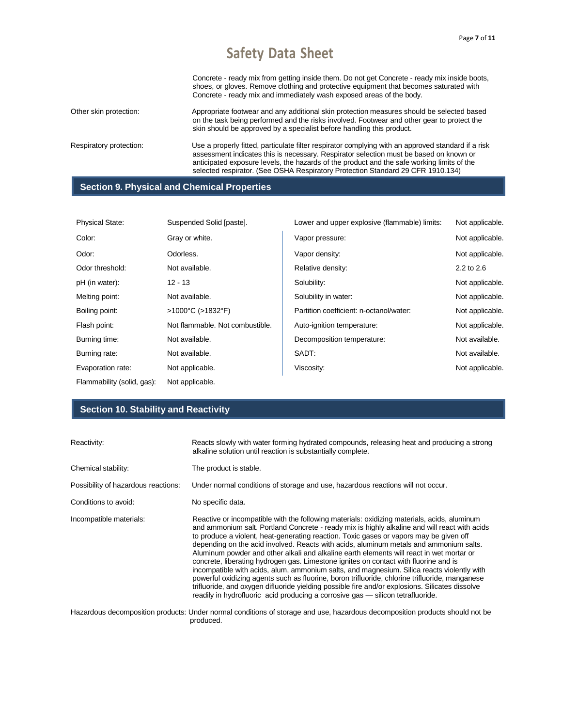Concrete - ready mix from getting inside them. Do not get Concrete - ready mix inside boots, shoes, or gloves. Remove clothing and protective equipment that becomes saturated with Concrete - ready mix and immediately wash exposed areas of the body.

Other skin protection: Appropriate footwear and any additional skin protection measures should be selected based on the task being performed and the risks involved. Footwear and other gear to protect the skin should be approved by a specialist before handling this product.

Respiratory protection: Use a properly fitted, particulate filter respirator complying with an approved standard if a risk assessment indicates this is necessary. Respirator selection must be based on known or anticipated exposure levels, the hazards of the product and the safe working limits of the selected respirator. (See OSHA Respiratory Protection Standard 29 CFR 1910.134)

#### **Section 9. Physical and Chemical Properties**

| <b>Physical State:</b>     | Suspended Solid [paste].               | Lower and upper explosive (flammable) limits: | Not applicable. |
|----------------------------|----------------------------------------|-----------------------------------------------|-----------------|
| Color:                     | Gray or white.                         | Vapor pressure:                               | Not applicable. |
| Odor:                      | Odorless.                              | Vapor density:                                | Not applicable. |
| Odor threshold:            | Not available.                         | Relative density:                             | 2.2 to 2.6      |
| pH (in water):             | 12 - 13                                | Solubility:                                   | Not applicable. |
| Melting point:             | Not available.                         | Solubility in water:                          | Not applicable. |
| Boiling point:             | $>1000^{\circ}$ C ( $>1832^{\circ}$ F) | Partition coefficient: n-octanol/water:       | Not applicable. |
| Flash point:               | Not flammable. Not combustible.        | Auto-ignition temperature:                    | Not applicable. |
| Burning time:              | Not available.                         | Decomposition temperature:                    | Not available.  |
| Burning rate:              | Not available.                         | SADT:                                         | Not available.  |
| Evaporation rate:          | Not applicable.                        | Viscosity:                                    | Not applicable. |
| Flammability (solid, gas): | Not applicable.                        |                                               |                 |

#### **Section 10. Stability and Reactivity**

| Reactivity:                         | Reacts slowly with water forming hydrated compounds, releasing heat and producing a strong<br>alkaline solution until reaction is substantially complete.                                                                                                                                                                                                                                                                                                                                                                                                                                                                                                                                                                                                                                                                                                                                                                                                  |  |
|-------------------------------------|------------------------------------------------------------------------------------------------------------------------------------------------------------------------------------------------------------------------------------------------------------------------------------------------------------------------------------------------------------------------------------------------------------------------------------------------------------------------------------------------------------------------------------------------------------------------------------------------------------------------------------------------------------------------------------------------------------------------------------------------------------------------------------------------------------------------------------------------------------------------------------------------------------------------------------------------------------|--|
| Chemical stability:                 | The product is stable.                                                                                                                                                                                                                                                                                                                                                                                                                                                                                                                                                                                                                                                                                                                                                                                                                                                                                                                                     |  |
| Possibility of hazardous reactions: | Under normal conditions of storage and use, hazardous reactions will not occur.                                                                                                                                                                                                                                                                                                                                                                                                                                                                                                                                                                                                                                                                                                                                                                                                                                                                            |  |
| Conditions to avoid:                | No specific data.                                                                                                                                                                                                                                                                                                                                                                                                                                                                                                                                                                                                                                                                                                                                                                                                                                                                                                                                          |  |
| Incompatible materials:             | Reactive or incompatible with the following materials: oxidizing materials, acids, aluminum<br>and ammonium salt. Portland Concrete - ready mix is highly alkaline and will react with acids<br>to produce a violent, heat-generating reaction. Toxic gases or vapors may be given off<br>depending on the acid involved. Reacts with acids, aluminum metals and ammonium salts.<br>Aluminum powder and other alkali and alkaline earth elements will react in wet mortar or<br>concrete, liberating hydrogen gas. Limestone ignites on contact with fluorine and is<br>incompatible with acids, alum, ammonium salts, and magnesium. Silica reacts violently with<br>powerful oxidizing agents such as fluorine, boron trifluoride, chlorine trifluoride, manganese<br>trifluoride, and oxygen difluoride yielding possible fire and/or explosions. Silicates dissolve<br>readily in hydrofluoric acid producing a corrosive gas — silicon tetrafluoride. |  |
|                                     | Hazardous decomposition products: Under normal conditions of storage and use, hazardous decomposition products should not be<br>produced.                                                                                                                                                                                                                                                                                                                                                                                                                                                                                                                                                                                                                                                                                                                                                                                                                  |  |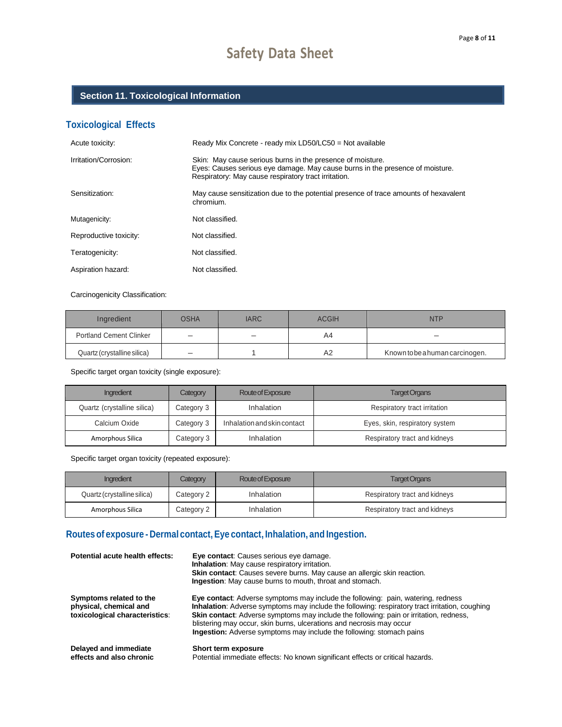## **Section 11. Toxicological Information**

## **Toxicological Effects**

| Acute toxicity:        | Ready Mix Concrete - ready mix LD50/LC50 = Not available                                                                                                                                            |
|------------------------|-----------------------------------------------------------------------------------------------------------------------------------------------------------------------------------------------------|
| Irritation/Corrosion:  | Skin: May cause serious burns in the presence of moisture.<br>Eyes: Causes serious eye damage. May cause burns in the presence of moisture.<br>Respiratory: May cause respiratory tract irritation. |
| Sensitization:         | May cause sensitization due to the potential presence of trace amounts of hexavalent<br>chromium.                                                                                                   |
| Mutagenicity:          | Not classified.                                                                                                                                                                                     |
| Reproductive toxicity: | Not classified.                                                                                                                                                                                     |
| Teratogenicity:        | Not classified.                                                                                                                                                                                     |
| Aspiration hazard:     | Not classified.                                                                                                                                                                                     |

Carcinogenicity Classification:

| Ingredient                     | OSHA | <b>IARC</b> | <b>ACGIH</b> | <b>NTP</b>                      |
|--------------------------------|------|-------------|--------------|---------------------------------|
| <b>Portland Cement Clinker</b> |      |             | A4           |                                 |
| Quartz (crystalline silica)    |      |             | A2           | Known to be a human carcinogen. |

Specific target organ toxicity (single exposure):

| Ingredient                  | Category   | Route of Exposure           | <b>Target Organs</b>           |
|-----------------------------|------------|-----------------------------|--------------------------------|
| Quartz (crystalline silica) | Category 3 | Inhalation                  | Respiratory tract irritation   |
| Calcium Oxide               | Category 3 | Inhalation and skin contact | Eyes, skin, respiratory system |
| Amorphous Silica            | Category 3 | Inhalation                  | Respiratory tract and kidneys  |

Specific target organ toxicity (repeated exposure):

| Ingredient                  | <b>Category</b> | Route of Exposure | <b>Target Organs</b>          |
|-----------------------------|-----------------|-------------------|-------------------------------|
| Quartz (crystalline silica) | Category 2      | Inhalation        | Respiratory tract and kidneys |
| Amorphous Silica            | Category 2      | Inhalation        | Respiratory tract and kidneys |

## **Routes of exposure - Dermal contact, Eye contact, Inhalation, and Ingestion.**

| Potential acute health effects:                                                     | Eye contact: Causes serious eye damage.<br><b>Inhalation:</b> May cause respiratory irritation.<br><b>Skin contact:</b> Causes severe burns. May cause an allergic skin reaction.<br><b>Ingestion:</b> May cause burns to mouth, throat and stomach.                                                                                                                                                                                       |
|-------------------------------------------------------------------------------------|--------------------------------------------------------------------------------------------------------------------------------------------------------------------------------------------------------------------------------------------------------------------------------------------------------------------------------------------------------------------------------------------------------------------------------------------|
| Symptoms related to the<br>physical, chemical and<br>toxicological characteristics: | Eye contact: Adverse symptoms may include the following: pain, watering, redness<br>Inhalation: Adverse symptoms may include the following: respiratory tract irritation, coughing<br><b>Skin contact:</b> Adverse symptoms may include the following: pain or irritation, redness,<br>blistering may occur, skin burns, ulcerations and necrosis may occur<br><b>Ingestion:</b> Adverse symptoms may include the following: stomach pains |
| Delayed and immediate<br>effects and also chronic                                   | Short term exposure<br>Potential immediate effects: No known significant effects or critical hazards.                                                                                                                                                                                                                                                                                                                                      |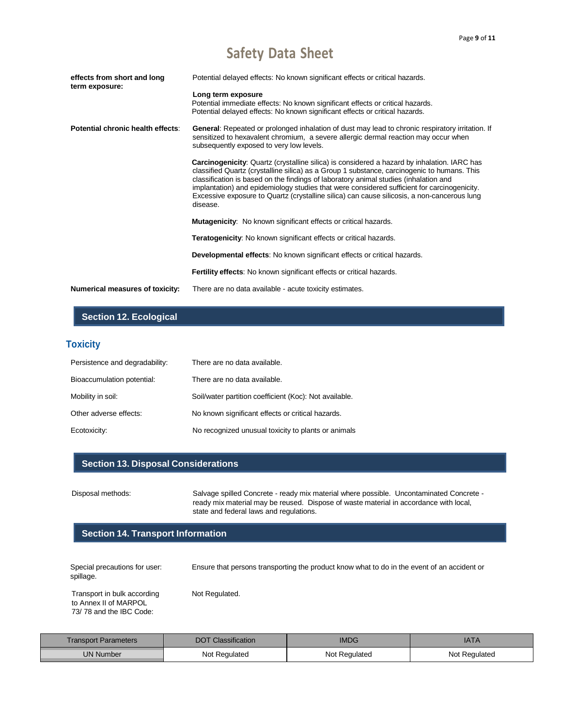| effects from short and long<br>term exposure: | Potential delayed effects: No known significant effects or critical hazards.                                                                                                                                                                                                                                                                                                                                                                                                                        |
|-----------------------------------------------|-----------------------------------------------------------------------------------------------------------------------------------------------------------------------------------------------------------------------------------------------------------------------------------------------------------------------------------------------------------------------------------------------------------------------------------------------------------------------------------------------------|
|                                               | Long term exposure<br>Potential immediate effects: No known significant effects or critical hazards.<br>Potential delayed effects: No known significant effects or critical hazards.                                                                                                                                                                                                                                                                                                                |
| Potential chronic health effects:             | General: Repeated or prolonged inhalation of dust may lead to chronic respiratory irritation. If<br>sensitized to hexavalent chromium, a severe allergic dermal reaction may occur when<br>subsequently exposed to very low levels.                                                                                                                                                                                                                                                                 |
|                                               | <b>Carcinogenicity:</b> Quartz (crystalline silica) is considered a hazard by inhalation. IARC has<br>classified Quartz (crystalline silica) as a Group 1 substance, carcinogenic to humans. This<br>classification is based on the findings of laboratory animal studies (inhalation and<br>implantation) and epidemiology studies that were considered sufficient for carcinogenicity.<br>Excessive exposure to Quartz (crystalline silica) can cause silicosis, a non-cancerous lung<br>disease. |
|                                               | <b>Mutagenicity:</b> No known significant effects or critical hazards.                                                                                                                                                                                                                                                                                                                                                                                                                              |
|                                               | <b>Teratogenicity:</b> No known significant effects or critical hazards.                                                                                                                                                                                                                                                                                                                                                                                                                            |
|                                               | Developmental effects: No known significant effects or critical hazards.                                                                                                                                                                                                                                                                                                                                                                                                                            |
|                                               | <b>Fertility effects:</b> No known significant effects or critical hazards.                                                                                                                                                                                                                                                                                                                                                                                                                         |
| <b>Numerical measures of toxicity:</b>        | There are no data available - acute toxicity estimates.                                                                                                                                                                                                                                                                                                                                                                                                                                             |

## **Section 12. Ecological**

## **Toxicity**

| Persistence and degradability: | There are no data available.                           |
|--------------------------------|--------------------------------------------------------|
| Bioaccumulation potential:     | There are no data available.                           |
| Mobility in soil:              | Soil/water partition coefficient (Koc): Not available. |
| Other adverse effects:         | No known significant effects or critical hazards.      |
| Ecotoxicity:                   | No recognized unusual toxicity to plants or animals    |

#### **Section 13. Disposal Considerations**

Disposal methods: Salvage spilled Concrete - ready mix material where possible. Uncontaminated Concrete ready mix material may be reused. Dispose of waste material in accordance with local, state and federal laws and regulations.

#### **Section 14. Transport Information**

| Special precautions for user:<br>spillage.                                      | Ensure that persons transporting the product know what to do in the event of an accident or |
|---------------------------------------------------------------------------------|---------------------------------------------------------------------------------------------|
| Transport in bulk according<br>to Annex II of MARPOL<br>73/78 and the IBC Code: | Not Regulated.                                                                              |

| <b>Transport Parameters</b> | <b>Classification</b><br>DOT | ט∪ו∨ו         | <b>IATA</b>   |
|-----------------------------|------------------------------|---------------|---------------|
| <b>UN Number</b>            | Not Regulated                | Not Regulated | Not Regulated |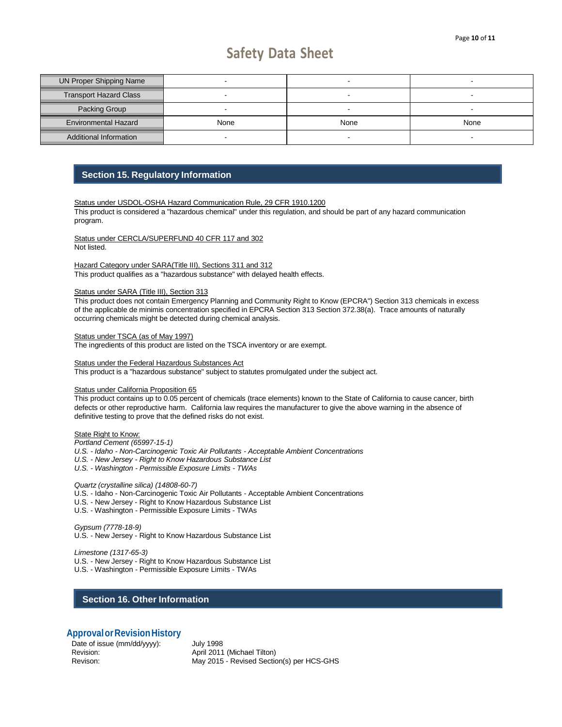| <b>UN Proper Shipping Name</b> |      |      | $\overline{\phantom{0}}$ |
|--------------------------------|------|------|--------------------------|
| <b>Transport Hazard Class</b>  |      |      | -                        |
| Packing Group                  |      |      | -                        |
| <b>Environmental Hazard</b>    | None | None | None                     |
| Additional Information         |      |      |                          |

#### **Section 15. Regulatory Information**

Status under USDOL-OSHA Hazard Communication Rule, 29 CFR 1910.1200 This product is considered a "hazardous chemical" under this regulation, and should be part of any hazard communication program.

Status under CERCLA/SUPERFUND 40 CFR 117 and 302 Not listed.

Hazard Category under SARA(Title III), Sections 311 and 312 This product qualifies as a "hazardous substance" with delayed health effects.

#### Status under SARA (Title III), Section 313

This product does not contain Emergency Planning and Community Right to Know (EPCRA") Section 313 chemicals in excess of the applicable de minimis concentration specified in EPCRA Section 313 Section 372.38(a). Trace amounts of naturally occurring chemicals might be detected during chemical analysis.

Status under TSCA (as of May 1997)

The ingredients of this product are listed on the TSCA inventory or are exempt.

**Status under the Federal Hazardous Substances Act** This product is a "hazardous substance" subject to statutes promulgated under the subject act.

#### Status under California Proposition 65

This product contains up to 0.05 percent of chemicals (trace elements) known to the State of California to cause cancer, birth defects or other reproductive harm. California law requires the manufacturer to give the above warning in the absence of definitive testing to prove that the defined risks do not exist.

#### **State Right to Know:**

*Portland Cement (65997-15-1) U.S. - Idaho - Non-Carcinogenic Toxic Air Pollutants - Acceptable Ambient Concentrations U.S. - New Jersey - Right to Know Hazardous Substance List U.S. - Washington - Permissible Exposure Limits - TWAs*

*Quartz (crystalline silica) (14808-60-7)*

- U.S. Idaho Non-Carcinogenic Toxic Air Pollutants Acceptable Ambient Concentrations
- U.S. New Jersey Right to Know Hazardous Substance List
- U.S. Washington Permissible Exposure Limits TWAs

*Gypsum (7778-18-9)* U.S. - New Jersey - Right to Know Hazardous Substance List

*Limestone (1317-65-3)* U.S. - New Jersey - Right to Know Hazardous Substance List

U.S. - Washington - Permissible Exposure Limits - TWAs

#### **Section 16. Other Information**

#### **ApprovalorRevisionHistory**

Date of issue (mm/dd/yyyy): July 1998 Revision: Revision: April 2011 (Michael Tilton)

Revison: May 2015 - Revised Section(s) per HCS-GHS